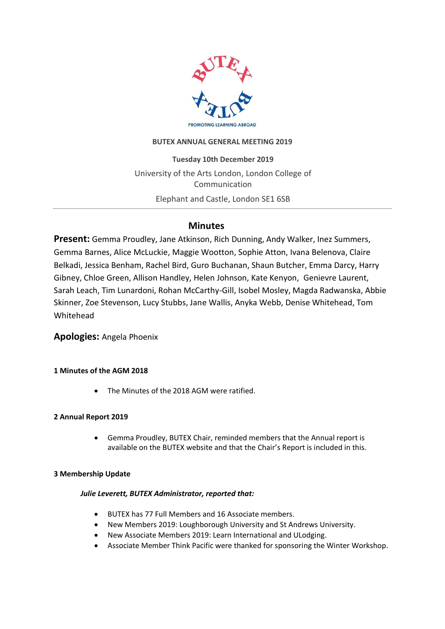

### **BUTEX ANNUAL GENERAL MEETING 2019**

**Tuesday 10th December 2019** University of the Arts London, London College of Communication Elephant and Castle, London SE1 6SB

# **Minutes**

**Present:** Gemma Proudley, Jane Atkinson, Rich Dunning, Andy Walker, Inez Summers, Gemma Barnes, Alice McLuckie, Maggie Wootton, Sophie Atton, Ivana Belenova, Claire Belkadi, Jessica Benham, Rachel Bird, Guro Buchanan, Shaun Butcher, Emma Darcy, Harry Gibney, Chloe Green, Allison Handley, Helen Johnson, Kate Kenyon, Genievre Laurent, Sarah Leach, Tim Lunardoni, Rohan McCarthy-Gill, Isobel Mosley, Magda Radwanska, Abbie Skinner, Zoe Stevenson, Lucy Stubbs, Jane Wallis, Anyka Webb, Denise Whitehead, Tom Whitehead

## **Apologies:** Angela Phoenix

### **1 Minutes of the AGM 2018**

• The Minutes of the 2018 AGM were ratified.

#### **2 Annual Report 2019**

• Gemma Proudley, BUTEX Chair, reminded members that the [Annual report](https://www.butex.ac.uk/wp-content/uploads/2019/12/BUTEX-Annual-Report-2019-GP59135.pdf) is available on the BUTEX website and that the Chair's Report is included in this.

#### **3 Membership Update**

#### *Julie Leverett, BUTEX Administrator, reported that:*

- BUTEX has 77 Full Members and 16 Associate members.
- New Members 2019: Loughborough University and St Andrews University.
- New Associate Members 2019: Learn International and ULodging.
- Associate Member Think Pacific were thanked for sponsoring the Winter Workshop.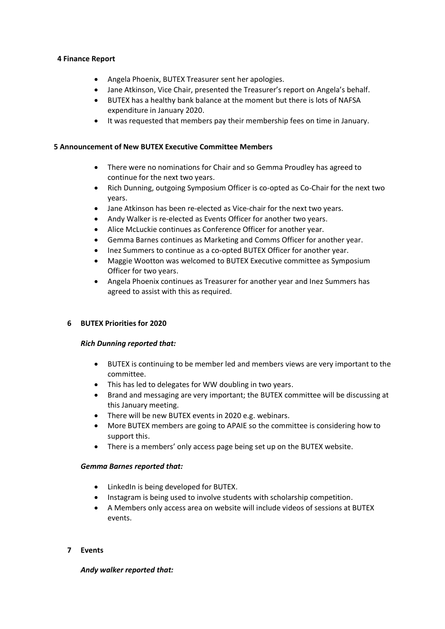#### **4 Finance Report**

- Angela Phoenix, BUTEX Treasurer sent her apologies.
- Jane Atkinson, Vice Chair, presented the [Treasurer](https://www.butex.ac.uk/wp-content/uploads/2019/12/BUTEX-Annual-Report-2019-GP59135.pdf)'s report on Angela's behalf.
- BUTEX has a healthy bank balance at the moment but there is lots of NAFSA expenditure in January 2020.
- It was requested that members pay their membership fees on time in January.

#### **5 Announcement of New BUTEX Executive Committee Members**

- There were no nominations for Chair and so Gemma Proudley has agreed to continue for the next two years.
- Rich Dunning, outgoing Symposium Officer is co-opted as Co-Chair for the next two years.
- Jane Atkinson has been re-elected as Vice-chair for the next two years.
- Andy Walker is re-elected as Events Officer for another two years.
- Alice McLuckie continues as Conference Officer for another year.
- Gemma Barnes continues as Marketing and Comms Officer for another year.
- Inez Summers to continue as a co-opted BUTEX Officer for another year.
- Maggie Wootton was welcomed to BUTEX Executive committee as Symposium Officer for two years.
- Angela Phoenix continues as Treasurer for another year and Inez Summers has agreed to assist with this as required.

#### **6 BUTEX Priorities for 2020**

#### *Rich Dunning reported that:*

- BUTEX is continuing to be member led and members views are very important to the committee.
- This has led to delegates for WW doubling in two years.
- Brand and messaging are very important; the BUTEX committee will be discussing at this January meeting.
- There will be new BUTEX events in 2020 e.g. webinars.
- More BUTEX members are going to APAIE so the committee is considering how to support this.
- There is a members' only access page being set up on the BUTEX website.

#### *Gemma Barnes reported that:*

- LinkedIn is being developed for BUTEX.
- Instagram is being used to involve students with scholarship competition.
- A Members only access area on website will include videos of sessions at BUTEX events.

#### **7 Events**

*Andy walker reported that:*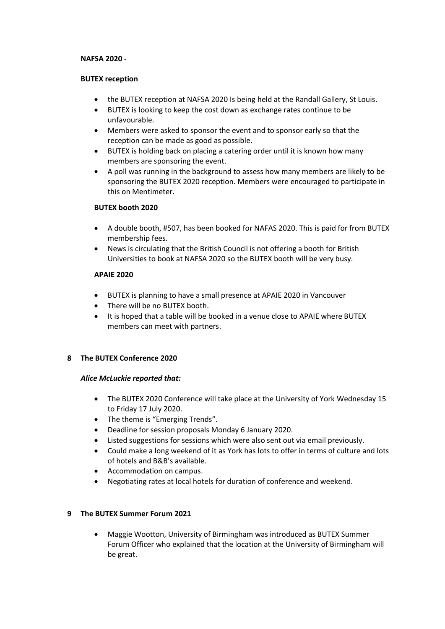#### **NAFSA 2020 -**

#### **BUTEX reception**

- the BUTEX reception at NAFSA 2020 Is being held at the Randall Gallery, St Louis.
- BUTEX is looking to keep the cost down as exchange rates continue to be unfavourable.
- Members were asked to sponsor the event and to sponsor early so that the reception can be made as good as possible.
- BUTEX is holding back on placing a catering order until it is known how many members are sponsoring the event.
- A poll was running in the background to assess how many members are likely to be sponsoring the BUTEX 2020 reception. Members were encouraged to participate in this on Mentimeter.

#### **BUTEX booth 2020**

- A double booth, #507, has been booked for NAFAS 2020. This is paid for from BUTEX membership fees.
- News is circulating that the British Council is not offering a booth for British Universities to book at NAFSA 2020 so the BUTEX booth will be very busy*.*

#### **APAIE 2020**

- BUTEX is planning to have a small presence at APAIE 2020 in Vancouver
- There will be no BUTEX booth.
- It is hoped that a table will be booked in a venue close to APAIE where BUTEX members can meet with partners.

#### **8 The BUTEX Conference 2020**

#### *Alice McLuckie reported that:*

- The BUTEX 2020 Conference will take place at the University of York Wednesday 15 to Friday 17 July 2020.
- The theme is "Emerging Trends".
- Deadline for session proposals Monday 6 January 2020.
- Listed suggestions for sessions which were also sent out via email previously.
- Could make a long weekend of it as York has lots to offer in terms of culture and lots of hotels and B&B's available.
- Accommodation on campus.
- Negotiating rates at local hotels for duration of conference and weekend.

#### **9 The BUTEX Summer Forum 2021**

• Maggie Wootton, University of Birmingham was introduced as BUTEX Summer Forum Officer who explained that the location at the University of Birmingham will be great.